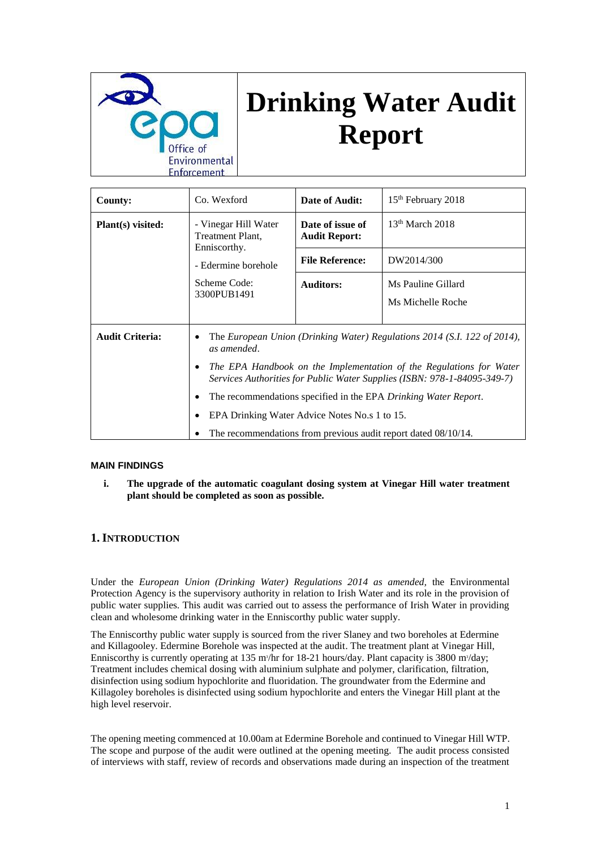

# **Drinking Water Audit Report**

| <b>County:</b>              | Co. Wexford                                                                                                                                                                                                                                                                                                                                                                                                                                     | Date of Audit:                           | 15 <sup>th</sup> February 2018          |
|-----------------------------|-------------------------------------------------------------------------------------------------------------------------------------------------------------------------------------------------------------------------------------------------------------------------------------------------------------------------------------------------------------------------------------------------------------------------------------------------|------------------------------------------|-----------------------------------------|
| Plant(s) visited:           | - Vinegar Hill Water<br>Treatment Plant,                                                                                                                                                                                                                                                                                                                                                                                                        | Date of issue of<br><b>Audit Report:</b> | $13th$ March 2018                       |
|                             | Enniscorthy.<br>- Edermine borehole                                                                                                                                                                                                                                                                                                                                                                                                             | <b>File Reference:</b>                   | DW2014/300                              |
| Scheme Code:<br>3300PUB1491 |                                                                                                                                                                                                                                                                                                                                                                                                                                                 | <b>Auditors:</b>                         | Ms Pauline Gillard<br>Ms Michelle Roche |
| <b>Audit Criteria:</b>      | The European Union (Drinking Water) Regulations 2014 (S.I. 122 of 2014),<br>as amended.<br>The EPA Handbook on the Implementation of the Regulations for Water<br>٠<br>Services Authorities for Public Water Supplies (ISBN: 978-1-84095-349-7)<br>The recommendations specified in the EPA Drinking Water Report.<br>٠<br>EPA Drinking Water Advice Notes No.s 1 to 15.<br>The recommendations from previous audit report dated 08/10/14.<br>٠ |                                          |                                         |

#### **MAIN FINDINGS**

**i. The upgrade of the automatic coagulant dosing system at Vinegar Hill water treatment plant should be completed as soon as possible.**

## **1. INTRODUCTION**

Under the *European Union (Drinking Water) Regulations 2014 as amended,* the Environmental Protection Agency is the supervisory authority in relation to Irish Water and its role in the provision of public water supplies. This audit was carried out to assess the performance of Irish Water in providing clean and wholesome drinking water in the Enniscorthy public water supply.

The Enniscorthy public water supply is sourced from the river Slaney and two boreholes at Edermine and Killagooley. Edermine Borehole was inspected at the audit. The treatment plant at Vinegar Hill, Enniscorthy is currently operating at 135 m<sup>3</sup>/hr for 18-21 hours/day. Plant capacity is 3800 m<sup>3</sup>/day; Treatment includes chemical dosing with aluminium sulphate and polymer, clarification, filtration, disinfection using sodium hypochlorite and fluoridation. The groundwater from the Edermine and Killagoley boreholes is disinfected using sodium hypochlorite and enters the Vinegar Hill plant at the high level reservoir.

The opening meeting commenced at 10.00am at Edermine Borehole and continued to Vinegar Hill WTP. The scope and purpose of the audit were outlined at the opening meeting. The audit process consisted of interviews with staff, review of records and observations made during an inspection of the treatment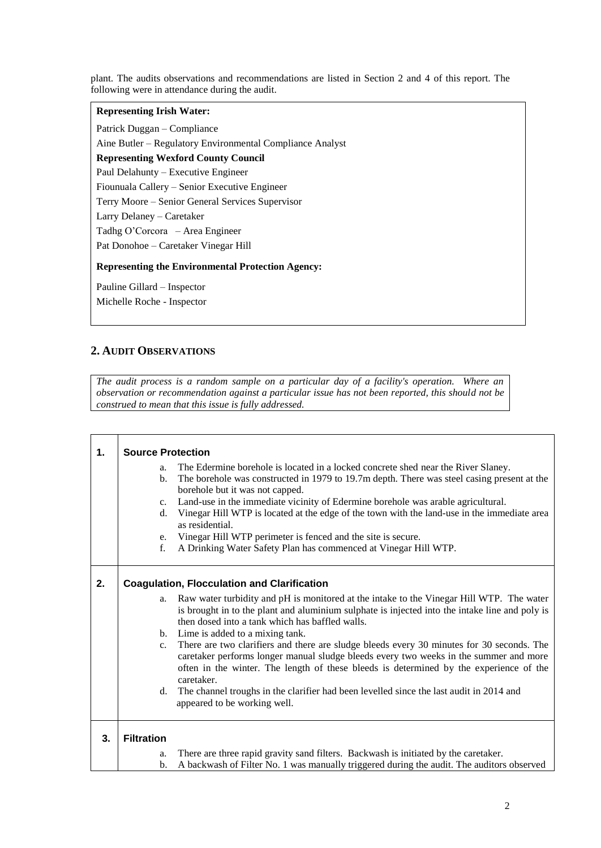plant. The audits observations and recommendations are listed in Section 2 and 4 of this report. The following were in attendance during the audit.

## **Representing Irish Water:**

Patrick Duggan – Compliance

Aine Butler – Regulatory Environmental Compliance Analyst

**Representing Wexford County Council** 

Paul Delahunty – Executive Engineer

Fiounuala Callery – Senior Executive Engineer

Terry Moore – Senior General Services Supervisor

Larry Delaney – Caretaker

Tadhg O'Corcora – Area Engineer

Pat Donohoe – Caretaker Vinegar Hill

**Representing the Environmental Protection Agency:**

Pauline Gillard – Inspector

Michelle Roche - Inspector

## **2. AUDIT OBSERVATIONS**

T

*The audit process is a random sample on a particular day of a facility's operation. Where an observation or recommendation against a particular issue has not been reported, this should not be construed to mean that this issue is fully addressed.*

| 1. | <b>Source Protection</b>                           |                                                                                                                                                                                                                                                                                            |  |  |
|----|----------------------------------------------------|--------------------------------------------------------------------------------------------------------------------------------------------------------------------------------------------------------------------------------------------------------------------------------------------|--|--|
|    | a.                                                 | The Edermine borehole is located in a locked concrete shed near the River Slaney.                                                                                                                                                                                                          |  |  |
|    | b.                                                 | The borehole was constructed in 1979 to 19.7m depth. There was steel casing present at the                                                                                                                                                                                                 |  |  |
|    |                                                    | borehole but it was not capped.                                                                                                                                                                                                                                                            |  |  |
|    | $c_{\cdot}$                                        | Land-use in the immediate vicinity of Edermine borehole was arable agricultural.                                                                                                                                                                                                           |  |  |
|    | d.                                                 | Vinegar Hill WTP is located at the edge of the town with the land-use in the immediate area<br>as residential.                                                                                                                                                                             |  |  |
|    | e.                                                 | Vinegar Hill WTP perimeter is fenced and the site is secure.                                                                                                                                                                                                                               |  |  |
|    | f.                                                 | A Drinking Water Safety Plan has commenced at Vinegar Hill WTP.                                                                                                                                                                                                                            |  |  |
|    |                                                    |                                                                                                                                                                                                                                                                                            |  |  |
| 2. | <b>Coagulation, Flocculation and Clarification</b> |                                                                                                                                                                                                                                                                                            |  |  |
|    | a.                                                 | Raw water turbidity and pH is monitored at the intake to the Vinegar Hill WTP. The water<br>is brought in to the plant and aluminium sulphate is injected into the intake line and poly is<br>then dosed into a tank which has baffled walls.                                              |  |  |
|    |                                                    | b. Lime is added to a mixing tank.                                                                                                                                                                                                                                                         |  |  |
|    | $c_{\cdot}$                                        | There are two clarifiers and there are sludge bleeds every 30 minutes for 30 seconds. The<br>caretaker performs longer manual sludge bleeds every two weeks in the summer and more<br>often in the winter. The length of these bleeds is determined by the experience of the<br>caretaker. |  |  |
|    | d.                                                 | The channel troughs in the clarifier had been levelled since the last audit in 2014 and<br>appeared to be working well.                                                                                                                                                                    |  |  |
| 3. | <b>Filtration</b>                                  |                                                                                                                                                                                                                                                                                            |  |  |
|    | a.                                                 | There are three rapid gravity sand filters. Backwash is initiated by the caretaker.                                                                                                                                                                                                        |  |  |
|    | b.                                                 | A backwash of Filter No. 1 was manually triggered during the audit. The auditors observed                                                                                                                                                                                                  |  |  |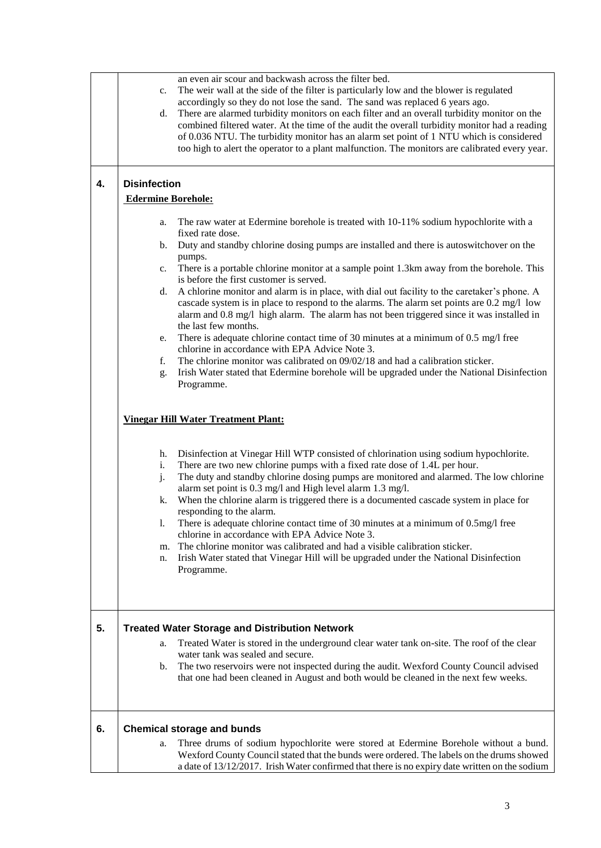|    | an even air scour and backwash across the filter bed.<br>The weir wall at the side of the filter is particularly low and the blower is regulated<br>$c_{\cdot}$<br>accordingly so they do not lose the sand. The sand was replaced 6 years ago.<br>There are alarmed turbidity monitors on each filter and an overall turbidity monitor on the<br>d.<br>combined filtered water. At the time of the audit the overall turbidity monitor had a reading<br>of 0.036 NTU. The turbidity monitor has an alarm set point of 1 NTU which is considered<br>too high to alert the operator to a plant malfunction. The monitors are calibrated every year.                                                                                                                                                                                                                    |  |  |  |  |
|----|-----------------------------------------------------------------------------------------------------------------------------------------------------------------------------------------------------------------------------------------------------------------------------------------------------------------------------------------------------------------------------------------------------------------------------------------------------------------------------------------------------------------------------------------------------------------------------------------------------------------------------------------------------------------------------------------------------------------------------------------------------------------------------------------------------------------------------------------------------------------------|--|--|--|--|
| 4. | <b>Disinfection</b>                                                                                                                                                                                                                                                                                                                                                                                                                                                                                                                                                                                                                                                                                                                                                                                                                                                   |  |  |  |  |
|    | <b>Edermine Borehole:</b>                                                                                                                                                                                                                                                                                                                                                                                                                                                                                                                                                                                                                                                                                                                                                                                                                                             |  |  |  |  |
|    | The raw water at Edermine borehole is treated with 10-11% sodium hypochlorite with a<br>a.                                                                                                                                                                                                                                                                                                                                                                                                                                                                                                                                                                                                                                                                                                                                                                            |  |  |  |  |
|    | fixed rate dose.<br>Duty and standby chlorine dosing pumps are installed and there is autoswitchover on the<br>b.                                                                                                                                                                                                                                                                                                                                                                                                                                                                                                                                                                                                                                                                                                                                                     |  |  |  |  |
|    | pumps.                                                                                                                                                                                                                                                                                                                                                                                                                                                                                                                                                                                                                                                                                                                                                                                                                                                                |  |  |  |  |
|    | There is a portable chlorine monitor at a sample point 1.3km away from the borehole. This<br>$c_{\cdot}$<br>is before the first customer is served.                                                                                                                                                                                                                                                                                                                                                                                                                                                                                                                                                                                                                                                                                                                   |  |  |  |  |
|    | A chlorine monitor and alarm is in place, with dial out facility to the caretaker's phone. A<br>d.                                                                                                                                                                                                                                                                                                                                                                                                                                                                                                                                                                                                                                                                                                                                                                    |  |  |  |  |
|    | cascade system is in place to respond to the alarms. The alarm set points are 0.2 mg/l low<br>alarm and 0.8 mg/l high alarm. The alarm has not been triggered since it was installed in                                                                                                                                                                                                                                                                                                                                                                                                                                                                                                                                                                                                                                                                               |  |  |  |  |
|    | the last few months.                                                                                                                                                                                                                                                                                                                                                                                                                                                                                                                                                                                                                                                                                                                                                                                                                                                  |  |  |  |  |
|    | There is adequate chlorine contact time of 30 minutes at a minimum of 0.5 mg/l free<br>e.<br>chlorine in accordance with EPA Advice Note 3.                                                                                                                                                                                                                                                                                                                                                                                                                                                                                                                                                                                                                                                                                                                           |  |  |  |  |
|    | The chlorine monitor was calibrated on 09/02/18 and had a calibration sticker.<br>f.                                                                                                                                                                                                                                                                                                                                                                                                                                                                                                                                                                                                                                                                                                                                                                                  |  |  |  |  |
|    | Irish Water stated that Edermine borehole will be upgraded under the National Disinfection<br>g.<br>Programme.                                                                                                                                                                                                                                                                                                                                                                                                                                                                                                                                                                                                                                                                                                                                                        |  |  |  |  |
|    | <b>Vinegar Hill Water Treatment Plant:</b><br>Disinfection at Vinegar Hill WTP consisted of chlorination using sodium hypochlorite.<br>h.<br>There are two new chlorine pumps with a fixed rate dose of 1.4L per hour.<br>i.<br>j.<br>The duty and standby chlorine dosing pumps are monitored and alarmed. The low chlorine<br>alarm set point is 0.3 mg/l and High level alarm 1.3 mg/l.<br>When the chlorine alarm is triggered there is a documented cascade system in place for<br>k.<br>responding to the alarm.<br>There is adequate chlorine contact time of 30 minutes at a minimum of 0.5mg/l free<br>1.<br>chlorine in accordance with EPA Advice Note 3.<br>The chlorine monitor was calibrated and had a visible calibration sticker.<br>m.<br>Irish Water stated that Vinegar Hill will be upgraded under the National Disinfection<br>n.<br>Programme. |  |  |  |  |
| 5. | <b>Treated Water Storage and Distribution Network</b>                                                                                                                                                                                                                                                                                                                                                                                                                                                                                                                                                                                                                                                                                                                                                                                                                 |  |  |  |  |
|    | Treated Water is stored in the underground clear water tank on-site. The roof of the clear<br>a.                                                                                                                                                                                                                                                                                                                                                                                                                                                                                                                                                                                                                                                                                                                                                                      |  |  |  |  |
|    | water tank was sealed and secure.<br>The two reservoirs were not inspected during the audit. Wexford County Council advised<br>b.                                                                                                                                                                                                                                                                                                                                                                                                                                                                                                                                                                                                                                                                                                                                     |  |  |  |  |
|    | that one had been cleaned in August and both would be cleaned in the next few weeks.                                                                                                                                                                                                                                                                                                                                                                                                                                                                                                                                                                                                                                                                                                                                                                                  |  |  |  |  |
| 6. | <b>Chemical storage and bunds</b>                                                                                                                                                                                                                                                                                                                                                                                                                                                                                                                                                                                                                                                                                                                                                                                                                                     |  |  |  |  |
|    | Three drums of sodium hypochlorite were stored at Edermine Borehole without a bund.<br>a.<br>Wexford County Council stated that the bunds were ordered. The labels on the drums showed<br>a date of 13/12/2017. Irish Water confirmed that there is no expiry date written on the sodium                                                                                                                                                                                                                                                                                                                                                                                                                                                                                                                                                                              |  |  |  |  |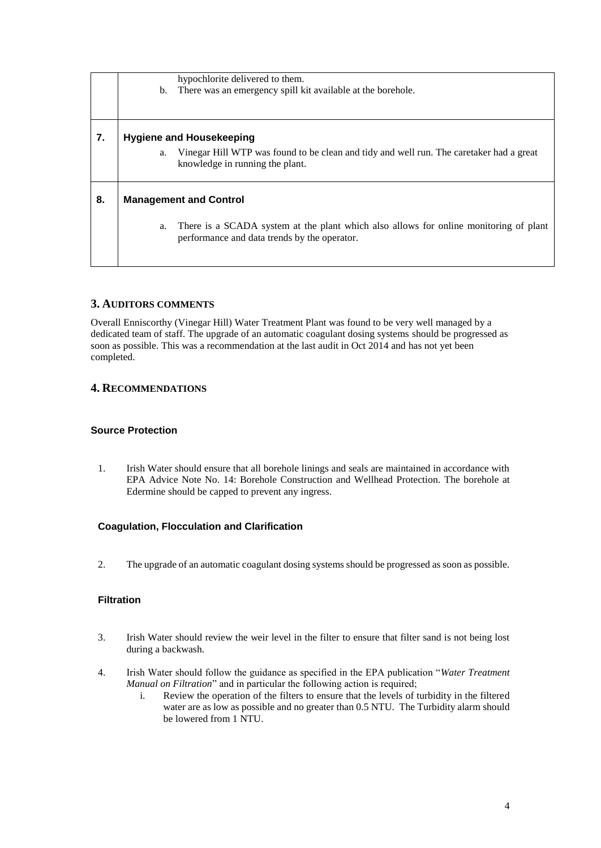|    | hypochlorite delivered to them.                                                                                                             |  |  |  |
|----|---------------------------------------------------------------------------------------------------------------------------------------------|--|--|--|
|    | There was an emergency spill kit available at the borehole.<br>b.                                                                           |  |  |  |
|    |                                                                                                                                             |  |  |  |
| 7. | <b>Hygiene and Housekeeping</b>                                                                                                             |  |  |  |
|    | Vinegar Hill WTP was found to be clean and tidy and well run. The caretaker had a great<br>а.<br>knowledge in running the plant.            |  |  |  |
| 8. | <b>Management and Control</b>                                                                                                               |  |  |  |
|    | There is a SCADA system at the plant which also allows for online monitoring of plant<br>a.<br>performance and data trends by the operator. |  |  |  |

## **3. AUDITORS COMMENTS**

Overall Enniscorthy (Vinegar Hill) Water Treatment Plant was found to be very well managed by a dedicated team of staff. The upgrade of an automatic coagulant dosing systems should be progressed as soon as possible. This was a recommendation at the last audit in Oct 2014 and has not yet been completed.

# **4. RECOMMENDATIONS**

## **Source Protection**

1. Irish Water should ensure that all borehole linings and seals are maintained in accordance with EPA Advice Note No. 14: Borehole Construction and Wellhead Protection. The borehole at Edermine should be capped to prevent any ingress.

# **Coagulation, Flocculation and Clarification**

2. The upgrade of an automatic coagulant dosing systems should be progressed as soon as possible.

# **Filtration**

- 3. Irish Water should review the weir level in the filter to ensure that filter sand is not being lost during a backwash.
- 4. Irish Water should follow the guidance as specified in the EPA publication "*Water Treatment Manual on Filtration*" and in particular the following action is required;
	- i. Review the operation of the filters to ensure that the levels of turbidity in the filtered water are as low as possible and no greater than 0.5 NTU. The Turbidity alarm should be lowered from 1 NTU.